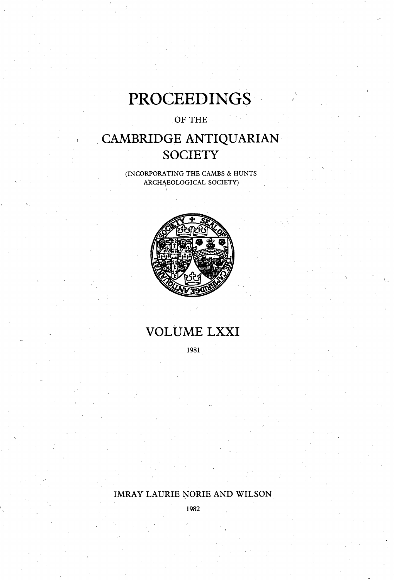# PROCEEDINGS

## . OF THE

 $\mathcal{L}_{\mathcal{S}}$ 

'S

# CAMBRIDGE ANTIQUARIAN **SOCIETY**

(INCORPORATING THE CAMBS & HUNTS ARCHAEOLOGICAL SOCIETY)



# VOLUME LXXI

1981

IMRAY LAURIE NORIE AND WILSON

1982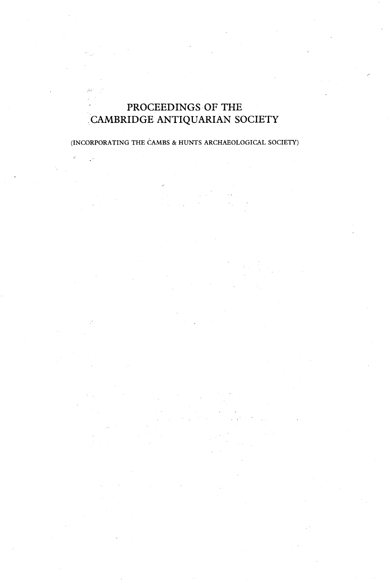## PROCEEDINGS OF THE CAMBRIDGE ANTIQUARIAN SOCIETY

### (INCORPORATING THE CAMBS & HUNTS ARCHAEOLOGICAL SOCIETY)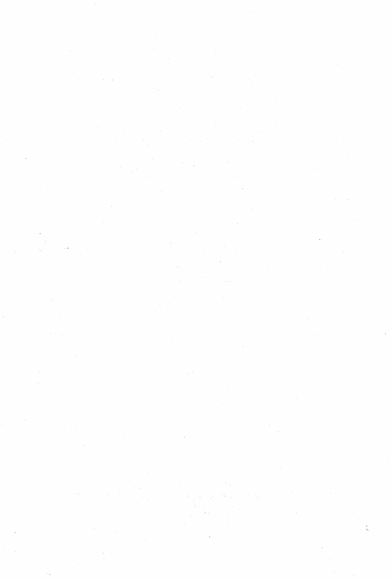$\label{eq:2} \frac{1}{2} \int_{\mathbb{R}^3} \frac{1}{\sqrt{2}} \, \frac{1}{\sqrt{2}} \, \frac{1}{\sqrt{2}} \, \frac{1}{\sqrt{2}} \, \frac{1}{\sqrt{2}} \, \frac{1}{\sqrt{2}} \, \frac{1}{\sqrt{2}} \, \frac{1}{\sqrt{2}} \, \frac{1}{\sqrt{2}} \, \frac{1}{\sqrt{2}} \, \frac{1}{\sqrt{2}} \, \frac{1}{\sqrt{2}} \, \frac{1}{\sqrt{2}} \, \frac{1}{\sqrt{2}} \, \frac{1}{\sqrt{2}} \, \frac{1}{\sqrt{2}} \, \frac$  $\mathcal{L}_{\text{max}}$  ,  $\mathcal{L}_{\text{max}}$  $\hat{\phi}_\mathrm{S}$  $\label{eq:2} \frac{1}{\sqrt{2\pi}}\sum_{i=1}^n\frac{1}{\sqrt{2\pi}}\int_{0}^1\frac{1}{\sqrt{2\pi}}\left(\frac{1}{\sqrt{2\pi}}\right)^2\frac{1}{\sqrt{2\pi}}\frac{1}{\sqrt{2\pi}}\frac{1}{\sqrt{2\pi}}\frac{1}{\sqrt{2\pi}}\frac{1}{\sqrt{2\pi}}\frac{1}{\sqrt{2\pi}}\frac{1}{\sqrt{2\pi}}\frac{1}{\sqrt{2\pi}}\frac{1}{\sqrt{2\pi}}\frac{1}{\sqrt{2\pi}}\frac{1}{\sqrt{2\pi}}\frac{1}{\sqrt{2\pi$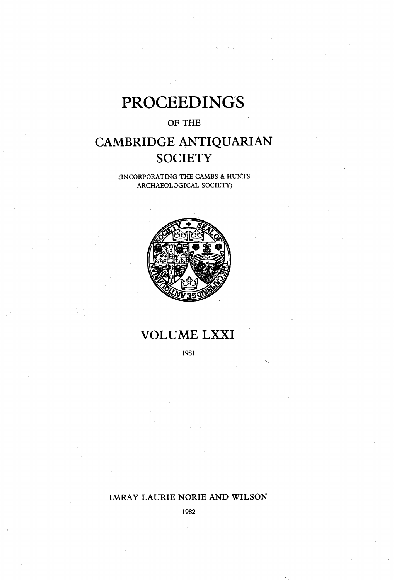# PROCEEDINGS

## OF THE

# CAMBRIDGE ANTIQUARIAN **SOCIETY**

(INCORPORATING THE CAMBS & HUNTS ARCHAEOLOGICAL SOCIETY)



## VOLUME LXXI

1981

## IMRAY LAURIE NORIE AND WILSON

1982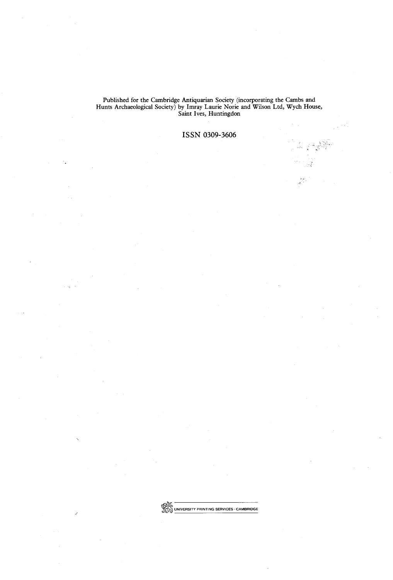#### Published for the Cambridge Antiquarian Society (incorporating the Cambs and Hunts Archaeological Society) by Imray Laurie Norie and Wilson Ltd, Wych House, Saint Ives, Huntingdon

ISSN 0309-3606

 $\mathbb{C}^3$ 

**IFTES**<br>UNIVERSITY PRINTING SERVICES · CAMBRIDGE

*-I*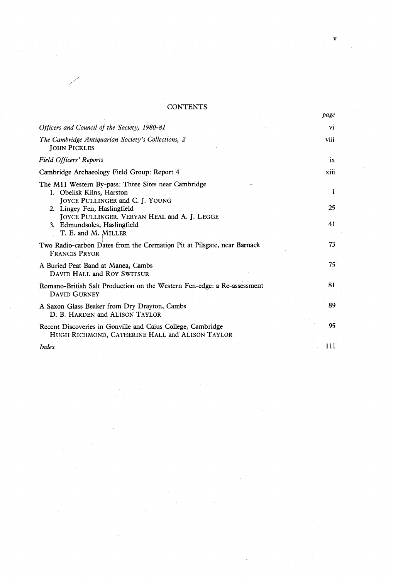## **CONTENTS**

'V

V

*page* 

| Officers and Council of the Society, 1980-81                                                                        | <b>vi</b>     |
|---------------------------------------------------------------------------------------------------------------------|---------------|
| The Cambridge Antiquarian Society's Collections, 2<br><b>JOHN PICKLES</b>                                           | viii          |
| Field Officers' Reports                                                                                             | $i\mathbf{x}$ |
| Cambridge Archaeology Field Group: Report 4                                                                         | xiii          |
| The M11 Western By-pass: Three Sites near Cambridge<br>1. Obelisk Kilns, Harston<br>JOYCE PULLINGER and C. J. YOUNG | 1             |
| 2. Lingey Fen, Haslingfield                                                                                         | 25            |
| JOYCE PULLINGER. VERYAN HEAL and A. J. LEGGE<br>3. Edmundsoles, Haslingfield<br>T. E. and M. MILLER                 | 41            |
| Two Radio-carbon Dates from the Cremation Pit at Pilsgate, near Barnack<br><b>FRANCIS PRYOR</b>                     | 73            |
| A Buried Peat Band at Manea, Cambs<br>DAVID HALL and ROY SWITSUR                                                    | 75            |
| Romano-British Salt Production on the Western Fen-edge: a Re-assessment<br>DAVID GURNEY                             | 81            |
| A Saxon Glass Beaker from Dry Drayton, Cambs<br>D. B. HARDEN and ALISON TAYLOR                                      | 89            |
| Recent Discoveries in Gonville and Caius College, Cambridge<br>HUGH RICHMOND, CATHERINE HALL and ALISON TAYLOR      | 95.           |
| Index                                                                                                               | 111           |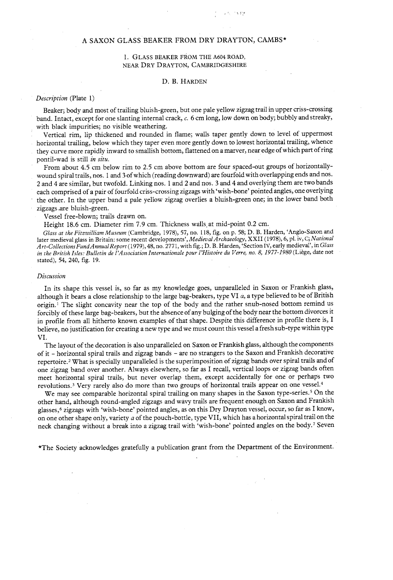### A SAXON GLASS BEAKER FROM DRY DRAYTON, CAMBS\*

### 1. GLASS BEAKER FROM THE A604 ROAD, NEAR DRY DRAYTON, CAMBRIDGESHIRE

### D. B. HARDEN

### *Description* (Plate 1)

Beaker; body and most of trailing bluish-green, but one pale yellow zigzag trail in upper criss-crossing band. Intact, except for one slanting internal crack, *c. 6* cm long, low down on body; bubbly and streaky, with black impurities; no visible weathering.

Vertical rim, lip thickened and rounded in flame; walls taper gently down to level of uppermost horizontal trailing, below which they taper even more gently down to lowest horizontal trailing, whence they curve more rapidly inward to smallish bottom, flattened on a marver, near edge of which part of ring pontil-wad is still *in situ.* 

From about *4.5* cm below rim to *2.5* cm above bottom are four spaced-out groups of horizontallywound spiral trails, nos. 1 and 3 of which (reading downward) are fourfold with overlapping ends and nos. 2 and 4 are similar, but twofold. Linking nos. 1 and 2 and nos. 3 and 4 and overlying them are two bands each comprised of a pair of fourfold criss-crossing zigzags with 'wish-bone' pointed angles, one overlying the other. In the upper band a pale yellow zigzag overlies a bluish-green one; in the lower band both zigzags ,are bluish-green.

Vessel free-blown; trails drawn on.

Height 18.6 cm. Diameter rim 7.9 cm. Thickness walls at mid-point 0.2 cm.

*Glass at the Fitzwilliam Museum* (Cambridge, 1978), *57,* no. 118, fig. on p. *58;* D. B. Harden, 'Anglo-Saxon and later medieval glass in Britain: some recent developments', *Medieval Archaeology*, XXII (1978), 6, pl. iv, *C*; National *Art-GollectionsFundAnnualReport* (1979), 48, no. 2771, with fig.; D. B. Harden, 'Section IV, early medieval', in *Glass in the British Isles: Bulletin de l'Association Internationale pour l'Histoire du Verre, no. 8, 1977-1980* (Liege, date not stated), *54,* 240, fig. 19.

#### *Discussion*

In its shape this vessel is, so far as my knowledge goes, unparalleled in Saxon or Frankish glass, although it bears a close relationship to the large bag-beakers, type VI *a,* a type believed to be of British origin.' The slight concavity near the top of the body and the rather snub-nosed bottom remind us forcibly of these large bag-beakers, but the absence of any bulging of the body near the bottom divorces it in profile from all hitherto known examples of that shape. Despite this difference in profile there is, I believe, no justification for creating a new type and we must count this vessel a fresh sub-type within type VI.

The layout of the decoration is also unparalleled on Saxon or Frankish glass, although the components of it - horizontal spiral trails and zigzag bands - are no strangers to the Saxon and Frankish decorative repertoire. 2 What is specially unparalleled is the superimposition of zigzag bands over spiral trails and of one zigzag band over another. Always elsewhere, so far as I recall, vertical loops or zigzag bands often meet horizontal spiral trails, but never overlap them, except accidentally for one or perhaps two revolutions.<sup>3</sup> Very rarely also do more than two groups of horizontal trails appear on one vessel.<sup>4</sup>

We may see comparable horizontal spiral trailing on many shapes in the Saxon type-series.<sup>5</sup> On the other hand, although round-angled zigzags and wavy trails are frequent enough on Saxon and Frankish glasses,<sup>6</sup> zigzags with 'wish-bone' pointed angles, as on this Dry Drayton vessel, occur, so far as I know, on one other shape only, variety *a* of the pouch-bottle, type VII, which has a horizontal spiral trail on the neck changing without a break into a zigzag trail with 'wish-bone' pointed angles on the body.<sup>7</sup> Seven

\*The Society acknowledges gratefully a publication grant from the Department of the Environment.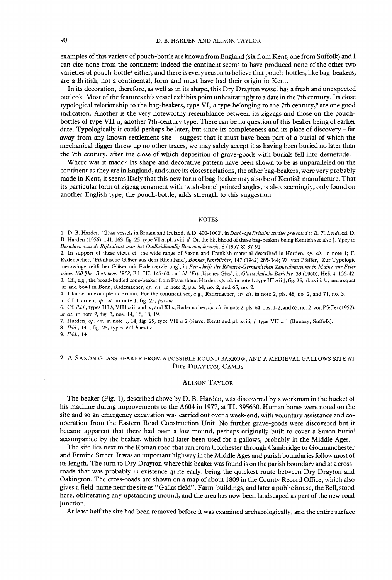### 90 D. B. HARDEN AND ALISON TAYLOR

examples of this variety of pouch-bottle are known from England (six from Kent, one from Suffolk) and I can cite none from the continent: indeed the continent seems to have produced none of the other two varieties of pouch-bottle<sup>8</sup> either, and there is every reason to believe that pouch-bottles, like bag-beakers, are a British, not a continental, form and must have had their origin in Kent.

In its decoration, therefore, as well as in its shape, this Dry Drayton vessel has a fresh and unexpected outlook. Most of the features this vessel exhibits point unhesitatingly to a date in the 7th century. Its close typological relationship to the bag-beakers, type VI, a type belonging to the 7th century,<sup>9</sup> are one good indication. Another is the very noteworthy resemblance between its zigzags and those on the pouchbottles of type VII a, another 7th-century type. There can be no question of this beaker being of earlier date. Typologically it could perhaps be later, but since its completeness and its place of discovery - far away from any known settlement-site - suggest that it must have been part of a burial of which the mechanical digger threw up no other traces, we may safely accept it as having been buried no later than the 7th century, after the close of which deposition of grave-goods with burials fell into desuetude.

Where was it made? Its shape and decorative pattern have been shown to be as unparalleled on the continent as they are in England, and since its closest relations, the other bag-beakers, were very probably made in Kent, it seems likely that this new form of bag-beaker may also be of Kentish manufacture. That its particular form of zigzag ornament with 'wish-bone' pointed angles, is also, seemingly, only found on another English type, the pouch-bottle, adds strength to this suggestion.

#### NOTES

In support of these views cf. the wide range of Saxon and Frankish material described in Harden, *op. cit.* in note 1; F. Rademacher, 'Fränkische Gläser aus dem Rheinland', *Bonnerjahrbiicher,* 147 (1942) *285-344;* W. von Pfeffer, 'Zur Typologie *merowingerzeitlicher Gläser mit Fadenverzierung', in Festschrift des Romisch-Germanischen Zentralmuseums in Mainz zur Feier seines lOOJhr. Bestehens 1952,* Bd. III, 147-60; and *id.* 'Fränkisches Glas', in *Glastechnische Berichte,* 33 (1960), Heft 4, 136-42. Cf., e.g., the broad-bodied cone-beaker from Faversham, Harden, *op. cit.* in note 1, type III *a ii 1,* fig. *25,* p1. xviii, *b.,* and a squat jar and bowl in Bonn, Rademacher, *op. cit.* in note 2, pis. 64, no. 2, and *65,* no. 2.

I know no example in Britain. For the continent see, e.g., Rademacher, *op. cit.* in note 2, pis. 48, no. 2, and 71, no. 3. Cf. Harden, *op. cit.* in note 1, fig. *25, passim.* 

Cf. *ibid.,* types III *b, VIII a iii* and iv, and XI *a,* Rademacher, *op. cit.* in note 2, pls. 64, nos. 1-2, and *65,* no. 2; von Pfeffer *(1952), Ut cit.* in note 2, fig. 3, nos. 14, 16, 18, 19.

Harden, *op. cit.* in note 1, 143fig. *25,* type VII *a* 2 (Sarre, Kent) and p1. xviii, *f,* type VII *a 1* (Bungay, Suffolk).

8. *Ibid.*, 141, fig. 25, types VII *b* and *c*.

*Ibid.,* 141.

### 2. A SAXON GLASS BEAKER FROM A POSSIBLE ROUND BARROW, AND A MEDIEVAL GALLOWS SITE AT DRY DRAYTON, CAMBS

#### ALISON TAYLOR

The beaker (Fig. 1), described above by D. B. Harden, was discovered by a workman in the bucket of his machine during improvements to the A604 in 1977, at TL *395630.* Human bones were noted on the site and so an emergency excavation was carried out over a week-end, with voluntary assistance and cooperation from the Eastern Road Construction Unit. No further grave-goods were discovered but it became apparent that there had been a low mound, perhaps originally built to cover a Saxon burial accompanied by the beaker, which had later been used for a gallows, probably in the Middle Ages.

The site lies next to the Roman road that ran from Colchester through Cambridge to Godmanchester and Ermine Street. It was an important highway in the Middle Ages and parish boundaries follow most of its length. The turn to Dry Drayton where this beaker was found is on the parish boundary and at a crossroads that was probably in existence quite early, being the quickest route between Dry Drayton and Oakington. The cross-roads are shown on a map of about 1809 in the County Record Office, which also gives a field-name near the site as "Gallas field". Farm-buildings, and later a public house, the Bell, stood here, obliterating any upstanding mound, and the area has now been landscaped as part of the new road junction.

At least half the site had been removed before it was examined archaeologically, and the entire surface

D. B. Harden, 'Glass vessels in Britain and Ireland, A.D. 400-1000', in *Dark-age Britain: studies presented to E. T. Leeds,* ed. D. B. Harden (1956), 141, 163, *fig. 25,* type VI *a, p1. xviii, d.* On the likelihood of these bag-beakers being Kentish see also J. Ypey in *Berichten van de Rijksdienst voor het Oudheidkundig Bodemonderzoek,* 8 (1957-8) 87-91.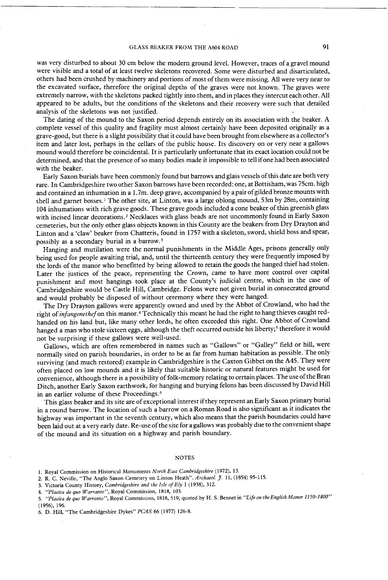was very disturbed to about 30 cm below the modern ground level. However, traces of a gravel mound were visible and a total of at least twelve skeletons recovered. Some were disturbed and disarticulated, others had been crushed by machinery and portions of most of them were missing. All were very near to the excavated surface, therefore the original depths of the graves were not known. The graves were extremely narrow, with the skeletons packed tightly into them, and in places they intercut each other. All appeared to be adults, but the conditions of the skeletons and their recovery were such that detailed analysis of the skeletons was not justified.

The dating of the mound to the Saxon period depends entirely on its association with the beaker. A complete vessel of this quality and fragility must almost certainly have been deposited originally as a grave-good, but there is a slight possibility thai it could have been brought from elsewhere as a collector's item and later lost, perhaps in the cellars of the public house. Its discovery on or very near a gallows mound would therefore be coincidental. It is particularly unfortunate that its exact location could not be determined, and that the presence of so many bodies made it impossible to tell if one had been associated with the beaker.

Early Saxon burials have been commonly found but barrows and glass vessels of this date are both very rare. In Cambridgeshire two other Saxon barrows have been recorded: one, at Bottisham, was *75cm.* high and contained an inhumation in a 1. 7m. deep grave, accompanied by a pair of gilded bronze mounts with shell and garnet bosses.' The other site, at Linton, was a large oblong mound, *53m* by 28m, containing 104 inhumations with rich grave goods. These grave goods included a cone beaker of thin greenish glass with incised linear decorations.<sup>2</sup> Necklaces with glass beads are not uncommonly found in Early Saxon cemeteries, but the only other glass objects known in this County are the beakers from Dry Drayton and Linton and a 'claw' beaker from Chatteris, found in 1 *757* with a skeleton, sword, shield boss and spear, possibly as a secondary burial in a barrow. <sup>3</sup>

Hanging and mutilation were the normal punishments in the Middle Ages, prisons generally only being used for people awaiting trial, and, until the thirteenth century they were frequently imposed by the lords of the manor who benefitted by being allowed to retain the goods the hanged thief had stolen. Later the justices of the peace, representing the Crown, came to have more control over capital punishment and most hangings took place at the County's judicial centre, which in the case of Cambridgeshire would be Castle Hill, Cambridge. Felons were not given burial in consecrated ground and would probably be disposed of without ceremony where they were hanged.

The Dry Drayton gallows were apparently owned and used by the Abbot of Crowland, who had the right of *infangenethef* on this manor.<sup>4</sup> Technically this meant he had the right to hang thieves caught redhanded on his land but, like many other lords, he often exceeded this right. One Abbot of Crowland hanged a man who stole sixteen eggs, although the theft occurred outside his liberty;<sup>5</sup> therefore it would not be surprising if these gallows were well-used.

Gallows, which are often remembered in names such as "Gallows" or "Galley" field or hill, were normally sited on parish boundaries, in order to be as far from human habitation as possible. The only surviving (and much restored) example in Cambridgeshire is the Caxton Gibbet on the *A45.* They were often placed on low mounds and it is likely that suitable historic or natural features might be used for convenience, although there is a possibility of folk-memory relating to certain places. The use of the Bran Ditch, another Early Saxon earthwork, for hanging and burying felons has been discussed by David Hill in an earlier volume of these Proceedings. <sup>6</sup>

This glass beaker and its site are of exceptional interest if they represent an Early Saxon primary burial in a round barrow. The location of such a barrow on a Roman Road is also significant as it indicates the highway was important in the seventh century, which also means that the parish boundaries could have been laid out at a very early date. Re-use of the site for a gallows was probably due to the convenient shape of the mound and its situation on a highway and parish boundary.

#### **NOTES**

Royal Commission on Historical Monuments *North East Cambridgeshire (1972), 13.* 

R. C. Neville, "The Anglo Saxon Cemetery on Linton Heath". *Archaeol. J. 11, (1854) 95-115.* 

Victoria County History, *Cambridgeshire and the Isle of Ely I (1938), 312.* 

*"Placita de quo Warranto'.',* Royal Commission, 1818, *103.* 

*"Placita de quo Warranto",* Royal Commission, *1818, 519,* quoted by H. S. Bennet in *"Life on the English Manor 1150-1400" (1956)*, 196.

D. Hill, "The Cambridgeshire Dykes" *PCAS 66 (1977) 126-8.*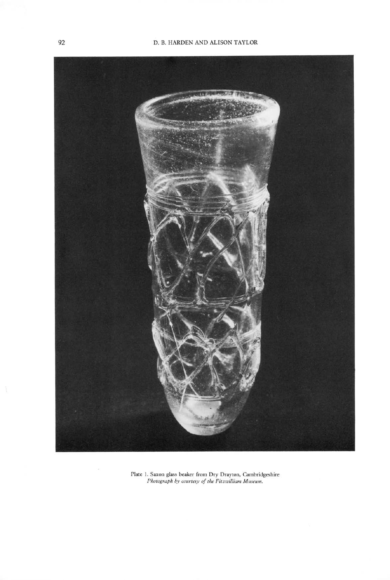

Plate 1. Saxon glass beaker from Dry Drayton, Cambridgeshire *Photograph by courtesy of the Fitzwilliam Museum.*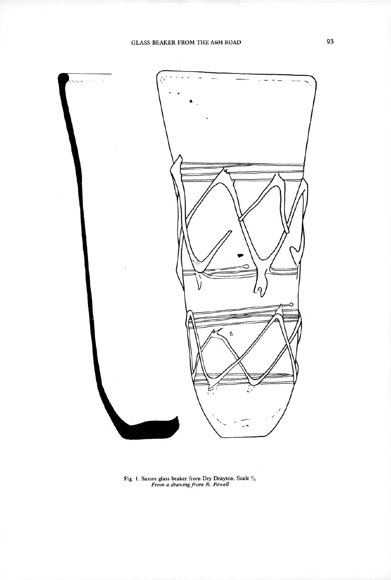### GLASS BEAKER FROM THE A604 ROAD 93



Fig. 1. Saxon glass beaker from Dry Drayton. Scale  $\frac{1}{2}$ *From a drawing from R. Powell*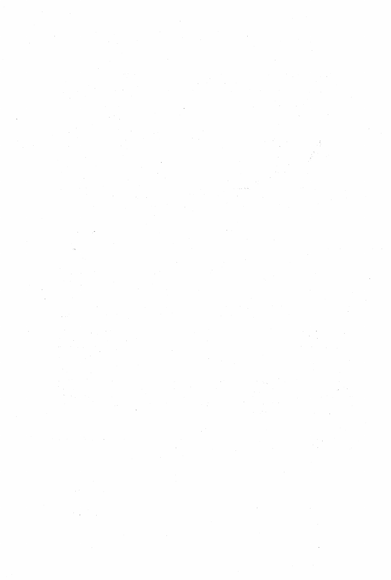$\label{eq:2} \frac{1}{\sqrt{2}}\int_{0}^{\infty}\frac{d\mu}{\mu}\left(\frac{d\mu}{\mu}\right)^{\mu}d\mu.$  $\label{eq:2} \mathcal{L} = \mathcal{L} \left( \mathcal{L} \right) \mathcal{L} \left( \mathcal{L} \right)$  $\frac{1}{2}$ an di Kabupatén<br>Kabupatèn Kabupatèn  $\sim 10^7$  $\label{eq:2.1} \begin{split} \mathcal{L}_{\text{max}}(\mathbf{r},\mathbf{r})&=\mathcal{L}_{\text{max}}(\mathbf{r},\mathbf{r})\\ &\leq \mathcal{L}_{\text{max}}(\mathbf{r},\mathbf{r})\\ &\leq \mathcal{L}_{\text{max}}(\mathbf{r},\mathbf{r})\end{split}$  $\label{eq:2.1} \mathcal{F}(\mathcal{A}_{\mathcal{A}}) = \mathcal{F}(\mathcal{A}_{\mathcal{A}}) = \mathcal{F}(\mathcal{A}_{\mathcal{A}}) = \mathcal{F}(\mathcal{A}_{\mathcal{A}})$  $\mathcal{F}(\mathcal{L})$  . In particular,